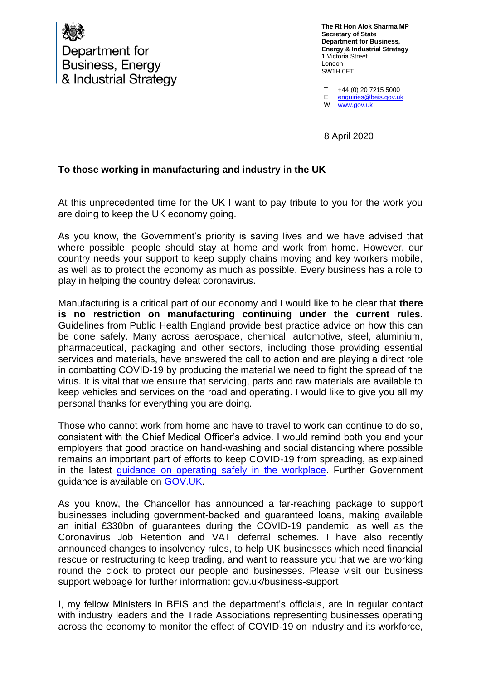

Department for **Business, Energy** & Industrial Strategy **The Rt Hon Alok Sharma MP Secretary of State Department for Business, Energy & Industrial Strategy** 1 Victoria Street London SW1H 0ET

 $T$ E W +44 (0) 20 7215 5000 [enquiries@beis.gov.uk](mailto:enquiries@beis.gov.uk)  [www.gov.uk](http://www.gov.uk/)

8 April 2020

## **To those working in manufacturing and industry in the UK**

At this unprecedented time for the UK I want to pay tribute to you for the work you are doing to keep the UK economy going.

As you know, the Government's priority is saving lives and we have advised that where possible, people should stay at home and work from home. However, our country needs your support to keep supply chains moving and key workers mobile, as well as to protect the economy as much as possible. Every business has a role to play in helping the country defeat coronavirus.

Manufacturing is a critical part of our economy and I would like to be clear that **there is no restriction on manufacturing continuing under the current rules.**  Guidelines from Public Health England provide best practice advice on how this can be done safely. Many across aerospace, chemical, automotive, steel, aluminium, pharmaceutical, packaging and other sectors, including those providing essential services and materials, have answered the call to action and are playing a direct role in combatting COVID-19 by producing the material we need to fight the spread of the virus. It is vital that we ensure that servicing, parts and raw materials are available to keep vehicles and services on the road and operating. I would like to give you all my personal thanks for everything you are doing.

Those who cannot work from home and have to travel to work can continue to do so, consistent with the Chief Medical Officer's advice. I would remind both you and your employers that good practice on hand-washing and social distancing where possible remains an important part of efforts to keep COVID-19 from spreading, as explained in the latest [guidance on operating safely in the workplace.](https://www.gov.uk/guidance/social-distancing-in-the-workplace-during-coronavirus-covid-19-sector-guidance#manufacturing-and-processing-businesses) Further Government guidance is available on [GOV.UK.](https://www.gov.uk/government/publications/guidance-to-employers-and-businesses-about-covid-19/guidance-for-employers-and-businesses-on-coronavirus-covid-19.)

As you know, the Chancellor has announced a far-reaching package to support businesses including government-backed and guaranteed loans, making available an initial £330bn of guarantees during the COVID-19 pandemic, as well as the Coronavirus Job Retention and VAT deferral schemes. I have also recently announced changes to insolvency rules, to help UK businesses which need financial rescue or restructuring to keep trading, and want to reassure you that we are working round the clock to protect our people and businesses. Please visit our business support webpage for further information: gov.uk/business-support

I, my fellow Ministers in BEIS and the department's officials, are in regular contact with industry leaders and the Trade Associations representing businesses operating across the economy to monitor the effect of COVID-19 on industry and its workforce,